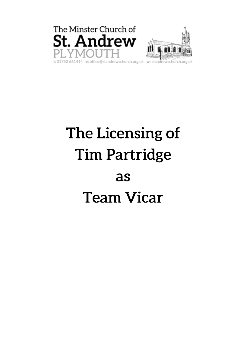



e: office@standrewschurch.org.uk w: standrewschurch.org.ul

# The Licensing of **Tim Partridge** as **Team Vicar**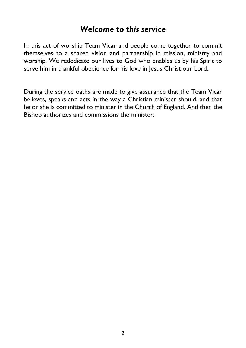### *Welcome to this service*

In this act of worship Team Vicar and people come together to commit themselves to a shared vision and partnership in mission, ministry and worship. We rededicate our lives to God who enables us by his Spirit to serve him in thankful obedience for his love in Jesus Christ our Lord.

During the service oaths are made to give assurance that the Team Vicar believes, speaks and acts in the way a Christian minister should, and that he or she is committed to minister in the Church of England. And then the Bishop authorizes and commissions the minister.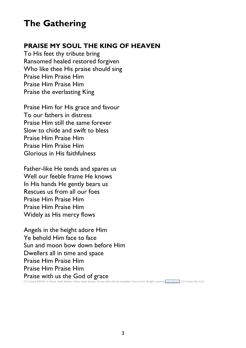## **The Gathering**

#### **PRAISE MY SOUL THE KING OF HEAVEN**

To His feet thy tribute bring Ransomed healed restored forgiven Who like thee His praise should sing Praise Him Praise Him Praise Him Praise Him Praise the everlasting King

Praise Him for His grace and favour To our fathers in distress Praise Him still the same forever Slow to chide and swift to bless Praise Him Praise Him Praise Him Praise Him Glorious in His faithfulness

Father-like He tends and spares us Well our feeble frame He knows In His hands He gently bears us Rescues us from all our foes Praise Him Praise Him Praise Him Praise Him Widely as His mercy flows

Angels in the height adore Him Ye behold Him face to face Sun and moon bow down before Him Dwellers all in time and space Praise Him Praise Him Praise Him Praise Him Praise with us the God of grace *CCLI Song # 800443, © Words: Public Domain | Music: Public Domain, For use solely with the SongSelect Terms of Use. All rights reserved[. www.ccli.com.](http://www.ccli.com/) CCLI Licence No. 4132*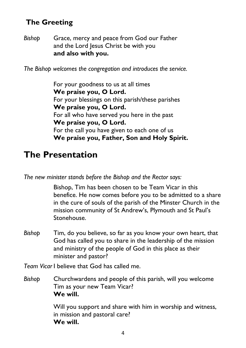### **The Greeting**

*Bishop* Grace, mercy and peace from God our Father and the Lord Jesus Christ be with you **and also with you.**

*The Bishop welcomes the congregation and introduces the service.* 

For your goodness to us at all times **We praise you, O Lord.** For your blessings on this parish/these parishes **We praise you, O Lord.** For all who have served you here in the past **We praise you, O Lord.** For the call you have given to each one of us **We praise you, Father, Son and Holy Spirit.**

### **The Presentation**

*The new minister stands before the Bishop and the Rector says:*

Bishop, Tim has been chosen to be Team Vicar in this benefice. He now comes before you to be admitted to a share in the cure of souls of the parish of the Minster Church in the mission community of St Andrew's, Plymouth and St Paul's Stonehouse.

*Bishop* Tim, do you believe, so far as you know your own heart, that God has called you to share in the leadership of the mission and ministry of the people of God in this place as their minister and pastor?

*Team Vicar* I believe that God has called me.

*Bishop* Churchwardens and people of this parish, will you welcome Tim as your new Team Vicar? **We will.**

> Will you support and share with him in worship and witness, in mission and pastoral care? **We will.**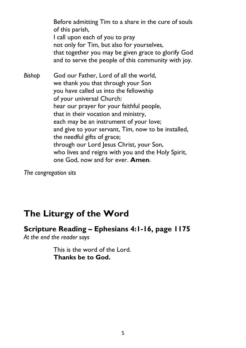Before admitting Tim to a share in the cure of souls of this parish, I call upon each of you to pray not only for Tim, but also for yourselves, that together you may be given grace to glorify God and to serve the people of this community with joy. *Bishop* God our Father, Lord of all the world, we thank you that through your Son you have called us into the fellowship of your universal Church: hear our prayer for your faithful people, that in their vocation and ministry, each may be an instrument of your love; and give to your servant, Tim, now to be installed, the needful gifts of grace; through our Lord Jesus Christ, your Son, who lives and reigns with you and the Holy Spirit, one God, now and for ever. **Amen**.

*The congregation sits*

### **The Liturgy of the Word**

#### **Scripture Reading – Ephesians 4:1-16, page 1175**

*At the end the reader says*

This is the word of the Lord. **Thanks be to God.**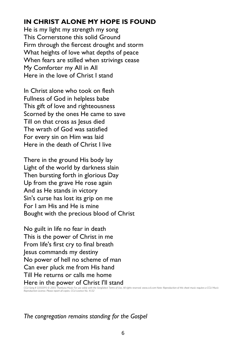#### **IN CHRIST ALONE MY HOPE IS FOUND**

He is my light my strength my song This Cornerstone this solid Ground Firm through the fiercest drought and storm What heights of love what depths of peace When fears are stilled when strivings cease My Comforter my All in All Here in the love of Christ I stand

In Christ alone who took on flesh Fullness of God in helpless babe This gift of love and righteousness Scorned by the ones He came to save Till on that cross as Jesus died The wrath of God was satisfied For every sin on Him was laid Here in the death of Christ I live

There in the ground His body lay Light of the world by darkness slain Then bursting forth in glorious Day Up from the grave He rose again And as He stands in victory Sin's curse has lost its grip on me For I am His and He is mine Bought with the precious blood of Christ

No guilt in life no fear in death This is the power of Christ in me From life's first cry to final breath Jesus commands my destiny No power of hell no scheme of man Can ever pluck me from His hand Till He returns or calls me home Here in the power of Christ I'll stand

*CCLI Song # 3350395 © 2001 Thankyou Music For use solely with the SongSelect Terms of Use. All rights reserved. www.ccli.com Note: Reproduction of this sheet music requires a CCLI Music Reproduction Licence. Please report all copies. CCLI Licence No. 4132*

*The congregation remains standing for the Gospel*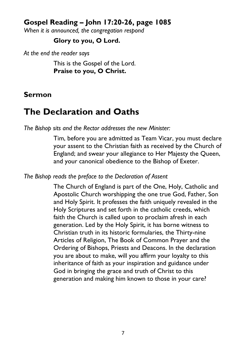#### **Gospel Reading – John 17:20-26, page 1085**

*When it is announced, the congregation respond*

**Glory to you, O Lord.**

*At the end the reader says*

This is the Gospel of the Lord. **Praise to you, O Christ.**

#### **Sermon**

# **The Declaration and Oaths**

*The Bishop sits and the Rector addresses the new Minister:*

Tim, before you are admitted as Team Vicar, you must declare your assent to the Christian faith as received by the Church of England; and swear your allegiance to Her Majesty the Queen, and your canonical obedience to the Bishop of Exeter.

*The Bishop reads the preface to the Declaration of Assent*

The Church of England is part of the One, Holy, Catholic and Apostolic Church worshipping the one true God, Father, Son and Holy Spirit. It professes the faith uniquely revealed in the Holy Scriptures and set forth in the catholic creeds, which faith the Church is called upon to proclaim afresh in each generation. Led by the Holy Spirit, it has borne witness to Christian truth in its historic formularies, the Thirty-nine Articles of Religion, The Book of Common Prayer and the Ordering of Bishops, Priests and Deacons. In the declaration you are about to make, will you affirm your loyalty to this inheritance of faith as your inspiration and guidance under God in bringing the grace and truth of Christ to this generation and making him known to those in your care?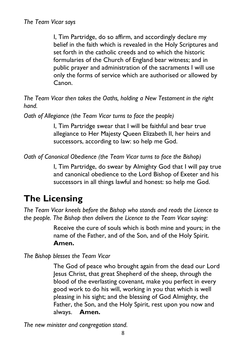I, Tim Partridge, do so affirm, and accordingly declare my belief in the faith which is revealed in the Holy Scriptures and set forth in the catholic creeds and to which the historic formularies of the Church of England bear witness; and in public prayer and administration of the sacraments I will use only the forms of service which are authorised or allowed by Canon.

*The Team Vicar then takes the Oaths, holding a New Testament in the right hand.*

*Oath of Allegiance (the Team Vicar turns to face the people)*

I, Tim Partridge swear that I will be faithful and bear true allegiance to Her Majesty Queen Elizabeth II, her heirs and successors, according to law: so help me God.

*Oath of Canonical Obedience (the Team Vicar turns to face the Bishop)*

I, Tim Partridge, do swear by Almighty God that I will pay true and canonical obedience to the Lord Bishop of Exeter and his successors in all things lawful and honest: so help me God.

## **The Licensing**

*The Team Vicar kneels before the Bishop who stands and reads the Licence to the people. The Bishop then delivers the Licence to the Team Vicar saying:*

> Receive the cure of souls which is both mine and yours; in the name of the Father, and of the Son, and of the Holy Spirit. **Amen.**

*The Bishop blesses the Team Vicar*

The God of peace who brought again from the dead our Lord Jesus Christ, that great Shepherd of the sheep, through the blood of the everlasting covenant, make you perfect in every good work to do his will, working in you that which is well pleasing in his sight; and the blessing of God Almighty, the Father, the Son, and the Holy Spirit, rest upon you now and always. **Amen.**

*The new minister and congregation stand.*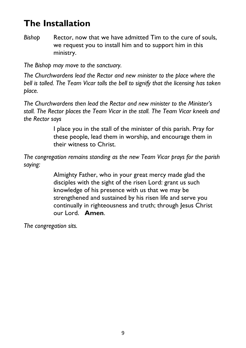# **The Installation**

*Bishop* Rector, now that we have admitted Tim to the cure of souls, we request you to install him and to support him in this ministry.

*The Bishop may move to the sanctuary.* 

*The Churchwardens lead the Rector and new minister to the place where the bell is tolled. The Team Vicar tolls the bell to signify that the licensing has taken place.*

*The Churchwardens then lead the Rector and new minister to the Minister's stall. The Rector places the Team Vicar in the stall. The Team Vicar kneels and the Rector says*

> I place you in the stall of the minister of this parish. Pray for these people, lead them in worship, and encourage them in their witness to Christ.

*The congregation remains standing as the new Team Vicar prays for the parish saying:*

> Almighty Father, who in your great mercy made glad the disciples with the sight of the risen Lord: grant us such knowledge of his presence with us that we may be strengthened and sustained by his risen life and serve you continually in righteousness and truth; through Jesus Christ our Lord. **Amen**.

*The congregation sits.*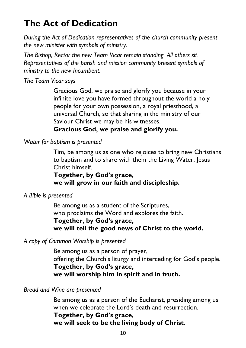# **The Act of Dedication**

*During the Act of Dedication representatives of the church community present the new minister with symbols of ministry.* 

*The Bishop, Rector the new Team Vicar remain standing. All others sit. Representatives of the parish and mission community present symbols of ministry to the new Incumbent.*

*The Team Vicar says*

Gracious God, we praise and glorify you because in your infinite love you have formed throughout the world a holy people for your own possession, a royal priesthood, a universal Church, so that sharing in the ministry of our Saviour Christ we may be his witnesses.

**Gracious God, we praise and glorify you.**

*Water for baptism is presented*

Tim, be among us as one who rejoices to bring new Christians to baptism and to share with them the Living Water, Jesus Christ himself.

**Together, by God's grace, we will grow in our faith and discipleship.**

*A Bible is presented*

Be among us as a student of the Scriptures, who proclaims the Word and explores the faith. **Together, by God's grace,**

## **we will tell the good news of Christ to the world.**

*A copy of Common Worship is presented*

Be among us as a person of prayer, offering the Church's liturgy and interceding for God's people. **Together, by God's grace, we will worship him in spirit and in truth.**

*Bread and Wine are presented*

Be among us as a person of the Eucharist, presiding among us when we celebrate the Lord's death and resurrection.

**Together, by God's grace, we will seek to be the living body of Christ.**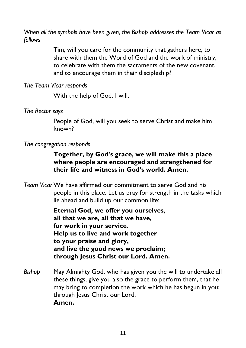*When all the symbols have been given, the Bishop addresses the Team Vicar as follows*

> Tim*,* will you care for the community that gathers here, to share with them the Word of God and the work of ministry, to celebrate with them the sacraments of the new covenant, and to encourage them in their discipleship?

*The Team Vicar responds*

With the help of God, I will.

*The Rector says*

People of God, will you seek to serve Christ and make him known?

#### *The congregation responds*

#### **Together, by God's grace, we will make this a place where people are encouraged and strengthened for their life and witness in God's world. Amen.**

*Team Vicar* We have affirmed our commitment to serve God and his people in this place. Let us pray for strength in the tasks which lie ahead and build up our common life:

> **Eternal God, we offer you ourselves, all that we are, all that we have, for work in your service. Help us to live and work together to your praise and glory, and live the good news we proclaim; through Jesus Christ our Lord. Amen.**

*Bishop* May Almighty God, who has given you the will to undertake all these things, give you also the grace to perform them, that he may bring to completion the work which he has begun in you; through Jesus Christ our Lord. **Amen.**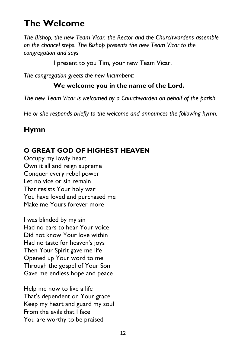# **The Welcome**

*The Bishop, the new Team Vicar, the Rector and the Churchwardens assemble on the chancel steps. The Bishop presents the new Team Vicar to the congregation and says*

I present to you Tim, your new Team Vicar.

*The congregation greets the new Incumbent:*

#### **We welcome you in the name of the Lord.**

*The new Team Vicar is welcomed by a Churchwarden on behalf of the parish*

*He or she responds briefly to the welcome and announces the following hymn.*

### **Hymn**

### **O GREAT GOD OF HIGHEST HEAVEN**

Occupy my lowly heart Own it all and reign supreme Conquer every rebel power Let no vice or sin remain That resists Your holy war You have loved and purchased me Make me Yours forever more

I was blinded by my sin Had no ears to hear Your voice Did not know Your love within Had no taste for heaven's joys Then Your Spirit gave me life Opened up Your word to me Through the gospel of Your Son Gave me endless hope and peace

Help me now to live a life That's dependent on Your grace Keep my heart and guard my soul From the evils that I face You are worthy to be praised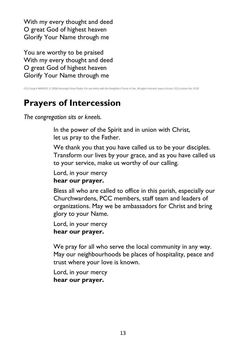With my every thought and deed O great God of highest heaven Glorify Your Name through me

You are worthy to be praised With my every thought and deed O great God of highest heaven Glorify Your Name through me

CCLI Song # 4804015, © 2006 Sovereign Grace Praise, For use solely with the SongSelect Terms of Use. All rights reserved. www.ccli.com. CCLI Licence No. 4132

# **Prayers of Intercession**

*The congregation sits or kneels.*

In the power of the Spirit and in union with Christ, let us pray to the Father.

We thank you that you have called us to be your disciples. Transform our lives by your grace, and as you have called us to your service, make us worthy of our calling.

Lord, in your mercy **hear our prayer.**

Bless all who are called to office in this parish, especially our Churchwardens, PCC members, staff team and leaders of organizations. May we be ambassadors for Christ and bring glory to your Name.

Lord, in your mercy **hear our prayer.**

We pray for all who serve the local community in any way. May our neighbourhoods be places of hospitality, peace and trust where your love is known.

Lord, in your mercy **hear our prayer.**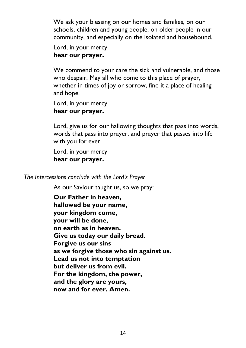We ask your blessing on our homes and families, on our schools, children and young people, on older people in our community, and especially on the isolated and housebound.

Lord, in your mercy **hear our prayer.**

We commend to your care the sick and vulnerable, and those who despair. May all who come to this place of prayer, whether in times of joy or sorrow, find it a place of healing and hope.

Lord, in your mercy **hear our prayer.**

Lord, give us for our hallowing thoughts that pass into words, words that pass into prayer, and prayer that passes into life with you for ever.

Lord, in your mercy **hear our prayer.**

*The Intercessions conclude with the Lord's Prayer*

As our Saviour taught us, so we pray:

**Our Father in heaven, hallowed be your name, your kingdom come, your will be done, on earth as in heaven. Give us today our daily bread. Forgive us our sins as we forgive those who sin against us. Lead us not into temptation but deliver us from evil. For the kingdom, the power, and the glory are yours, now and for ever. Amen.**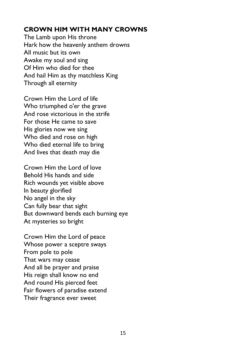#### **CROWN HIM WITH MANY CROWNS**

The Lamb upon His throne Hark how the heavenly anthem drowns All music but its own Awake my soul and sing Of Him who died for thee And hail Him as thy matchless King Through all eternity

Crown Him the Lord of life Who triumphed o'er the grave And rose victorious in the strife For those He came to save His glories now we sing Who died and rose on high Who died eternal life to bring And lives that death may die

Crown Him the Lord of love Behold His hands and side Rich wounds yet visible above In beauty glorified No angel in the sky Can fully bear that sight But downward bends each burning eye At mysteries so bright

Crown Him the Lord of peace Whose power a sceptre sways From pole to pole That wars may cease And all be prayer and praise His reign shall know no end And round His pierced feet Fair flowers of paradise extend Their fragrance ever sweet